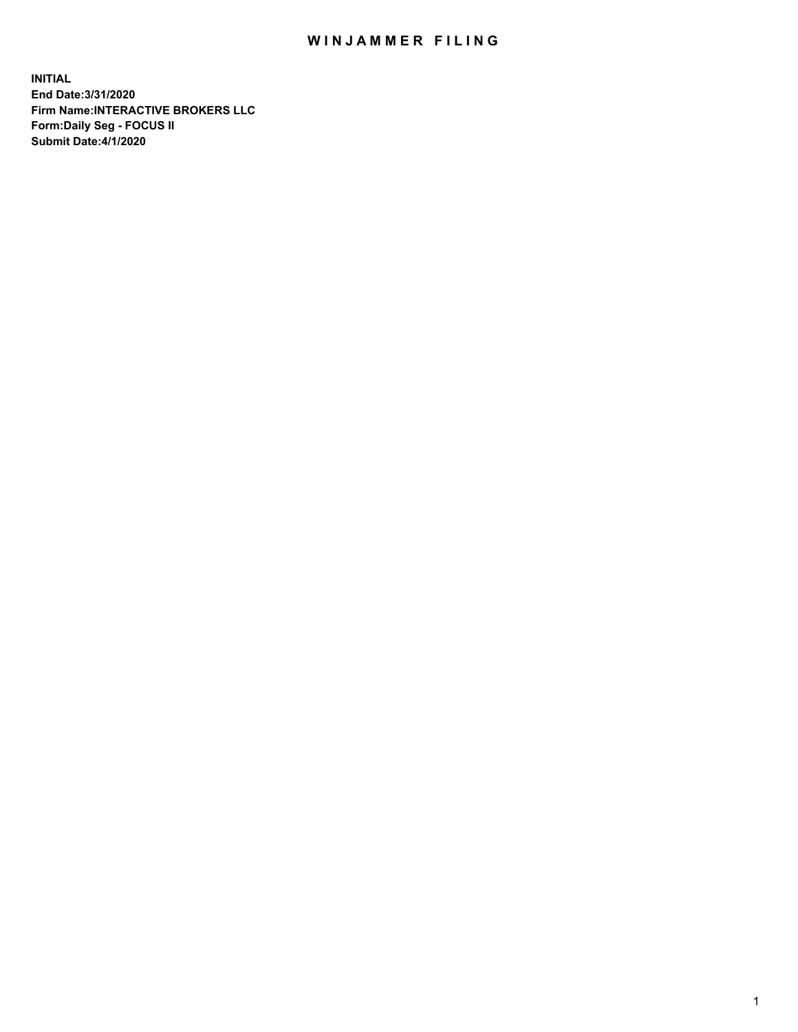## WIN JAMMER FILING

**INITIAL End Date:3/31/2020 Firm Name:INTERACTIVE BROKERS LLC Form:Daily Seg - FOCUS II Submit Date:4/1/2020**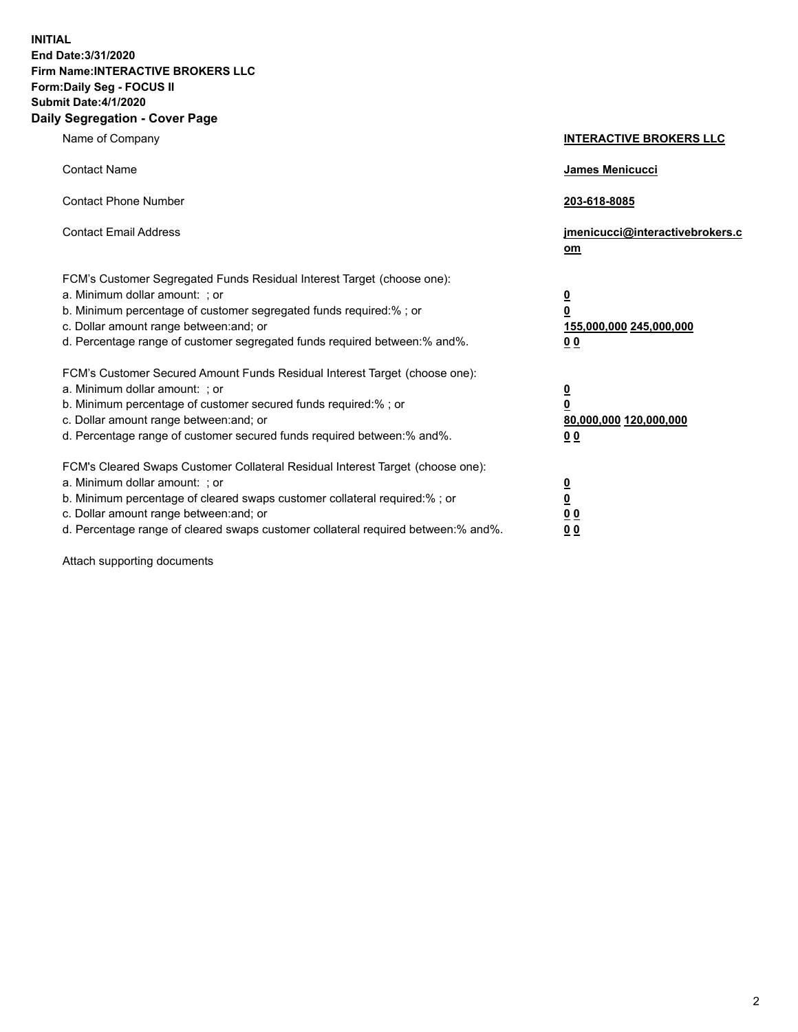**INITIAL End Date:3/31/2020 Firm Name:INTERACTIVE BROKERS LLC Form:Daily Seg - FOCUS II Submit Date:4/1/2020 Daily Segregation - Cover Page**

| Name of Company                                                                                                                                                                                                                                                                                                                | <b>INTERACTIVE BROKERS LLC</b>                                                                  |
|--------------------------------------------------------------------------------------------------------------------------------------------------------------------------------------------------------------------------------------------------------------------------------------------------------------------------------|-------------------------------------------------------------------------------------------------|
| <b>Contact Name</b>                                                                                                                                                                                                                                                                                                            | <b>James Menicucci</b>                                                                          |
| <b>Contact Phone Number</b>                                                                                                                                                                                                                                                                                                    | 203-618-8085                                                                                    |
| <b>Contact Email Address</b>                                                                                                                                                                                                                                                                                                   | jmenicucci@interactivebrokers.c<br>om                                                           |
| FCM's Customer Segregated Funds Residual Interest Target (choose one):<br>a. Minimum dollar amount: ; or<br>b. Minimum percentage of customer segregated funds required:%; or<br>c. Dollar amount range between: and; or<br>d. Percentage range of customer segregated funds required between:% and%.                          | $\overline{\mathbf{0}}$<br>$\overline{\mathbf{0}}$<br>155,000,000 245,000,000<br>0 <sub>0</sub> |
| FCM's Customer Secured Amount Funds Residual Interest Target (choose one):<br>a. Minimum dollar amount: ; or<br>b. Minimum percentage of customer secured funds required:%; or<br>c. Dollar amount range between: and; or<br>d. Percentage range of customer secured funds required between:% and%.                            | $\overline{\mathbf{0}}$<br>$\overline{\mathbf{0}}$<br>80,000,000 120,000,000<br>0 <sub>0</sub>  |
| FCM's Cleared Swaps Customer Collateral Residual Interest Target (choose one):<br>a. Minimum dollar amount: ; or<br>b. Minimum percentage of cleared swaps customer collateral required:% ; or<br>c. Dollar amount range between: and; or<br>d. Percentage range of cleared swaps customer collateral required between:% and%. | $\overline{\mathbf{0}}$<br>$\overline{\mathbf{0}}$<br>0 <sub>0</sub><br>0 <sub>0</sub>          |

Attach supporting documents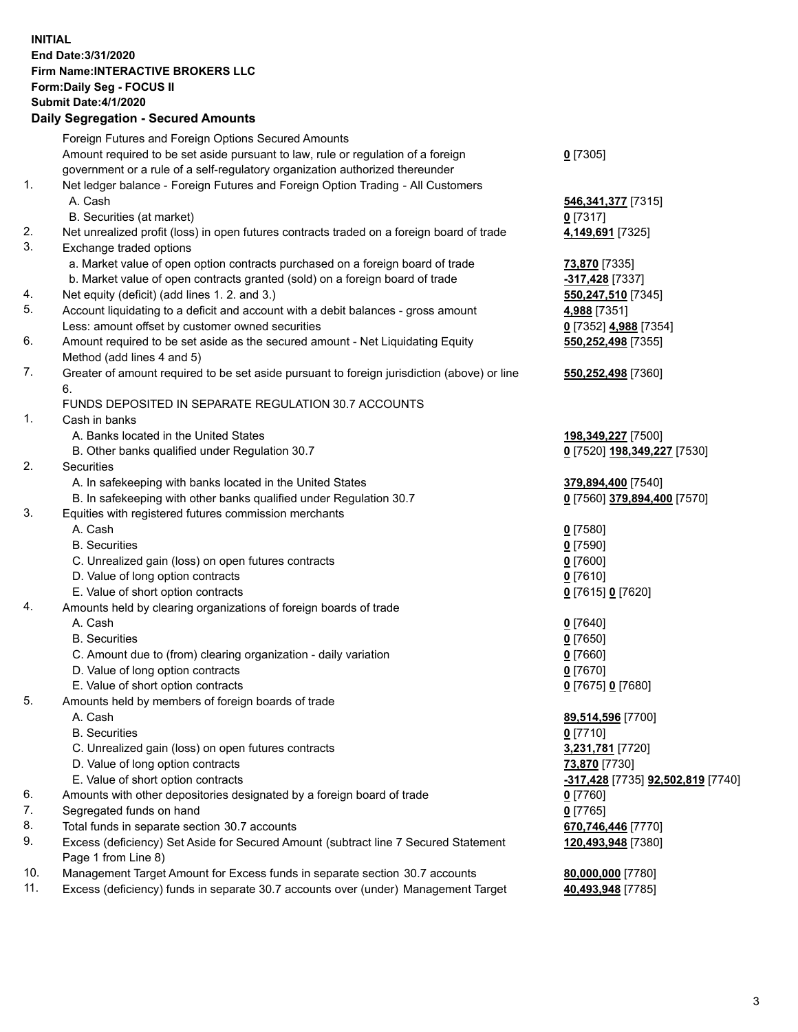## **INITIAL End Date:3/31/2020 Firm Name:INTERACTIVE BROKERS LLC Form:Daily Seg - FOCUS II Submit Date:4/1/2020 Daily Segregation - Secured Amounts**

|     | Foreign Futures and Foreign Options Secured Amounts                                                        |                                   |
|-----|------------------------------------------------------------------------------------------------------------|-----------------------------------|
|     | Amount required to be set aside pursuant to law, rule or regulation of a foreign                           | $0$ [7305]                        |
|     | government or a rule of a self-regulatory organization authorized thereunder                               |                                   |
| 1.  | Net ledger balance - Foreign Futures and Foreign Option Trading - All Customers                            |                                   |
|     | A. Cash                                                                                                    | 546, 341, 377 [7315]              |
|     | B. Securities (at market)                                                                                  | $0$ [7317]                        |
| 2.  | Net unrealized profit (loss) in open futures contracts traded on a foreign board of trade                  | 4,149,691 [7325]                  |
| 3.  | Exchange traded options                                                                                    |                                   |
|     | a. Market value of open option contracts purchased on a foreign board of trade                             | 73,870 [7335]                     |
|     | b. Market value of open contracts granted (sold) on a foreign board of trade                               | -317,428 [7337]                   |
| 4.  | Net equity (deficit) (add lines 1. 2. and 3.)                                                              | 550,247,510 [7345]                |
| 5.  | Account liquidating to a deficit and account with a debit balances - gross amount                          | 4,988 [7351]                      |
|     | Less: amount offset by customer owned securities                                                           | 0 [7352] 4,988 [7354]             |
| 6.  | Amount required to be set aside as the secured amount - Net Liquidating Equity                             | 550,252,498 [7355]                |
|     | Method (add lines 4 and 5)                                                                                 |                                   |
| 7.  | Greater of amount required to be set aside pursuant to foreign jurisdiction (above) or line                | 550,252,498 [7360]                |
|     | 6.                                                                                                         |                                   |
|     | FUNDS DEPOSITED IN SEPARATE REGULATION 30.7 ACCOUNTS                                                       |                                   |
| 1.  | Cash in banks                                                                                              |                                   |
|     | A. Banks located in the United States                                                                      | 198,349,227 [7500]                |
|     | B. Other banks qualified under Regulation 30.7                                                             | 0 [7520] 198,349,227 [7530]       |
| 2.  | Securities                                                                                                 |                                   |
|     | A. In safekeeping with banks located in the United States                                                  | 379,894,400 [7540]                |
|     | B. In safekeeping with other banks qualified under Regulation 30.7                                         | 0 [7560] 379,894,400 [7570]       |
| 3.  | Equities with registered futures commission merchants                                                      |                                   |
|     | A. Cash                                                                                                    | $0$ [7580]                        |
|     | <b>B.</b> Securities                                                                                       | $0$ [7590]                        |
|     | C. Unrealized gain (loss) on open futures contracts                                                        | $0$ [7600]                        |
|     | D. Value of long option contracts                                                                          | $0$ [7610]                        |
|     | E. Value of short option contracts                                                                         | 0 [7615] 0 [7620]                 |
| 4.  | Amounts held by clearing organizations of foreign boards of trade                                          |                                   |
|     | A. Cash                                                                                                    | $0$ [7640]                        |
|     | <b>B.</b> Securities                                                                                       | $0$ [7650]                        |
|     | C. Amount due to (from) clearing organization - daily variation                                            | $0$ [7660]                        |
|     | D. Value of long option contracts                                                                          | $0$ [7670]                        |
|     | E. Value of short option contracts                                                                         | 0 [7675] 0 [7680]                 |
| 5.  | Amounts held by members of foreign boards of trade                                                         |                                   |
|     | A. Cash                                                                                                    | 89,514,596 [7700]                 |
|     | <b>B.</b> Securities                                                                                       | $0$ [7710]                        |
|     | C. Unrealized gain (loss) on open futures contracts                                                        | 3,231,781 [7720]                  |
|     | D. Value of long option contracts                                                                          | 73,870 [7730]                     |
|     | E. Value of short option contracts                                                                         | -317,428 [7735] 92,502,819 [7740] |
| 6.  | Amounts with other depositories designated by a foreign board of trade                                     | $0$ [7760]                        |
| 7.  | Segregated funds on hand                                                                                   | $0$ [7765]                        |
| 8.  | Total funds in separate section 30.7 accounts                                                              | 670,746,446 [7770]                |
| 9.  | Excess (deficiency) Set Aside for Secured Amount (subtract line 7 Secured Statement<br>Page 1 from Line 8) | 120,493,948 [7380]                |
| 10. | Management Target Amount for Excess funds in separate section 30.7 accounts                                | 80,000,000 [7780]                 |
| 11. | Excess (deficiency) funds in separate 30.7 accounts over (under) Management Target                         | 40,493,948 [7785]                 |
|     |                                                                                                            |                                   |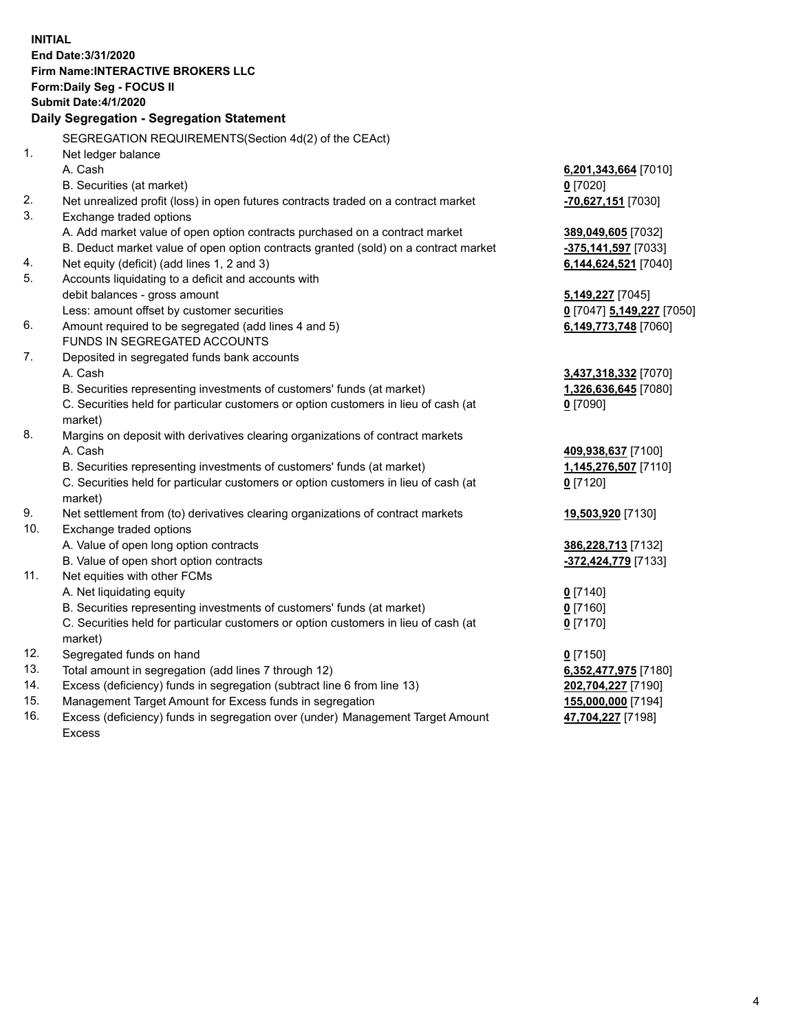**INITIAL End Date:3/31/2020 Firm Name:INTERACTIVE BROKERS LLC Form:Daily Seg - FOCUS II Submit Date:4/1/2020 Daily Segregation - Segregation Statement** SEGREGATION REQUIREMENTS(Section 4d(2) of the CEAct) 1. Net ledger balance A. Cash **6,201,343,664** [7010] B. Securities (at market) **0** [7020] 2. Net unrealized profit (loss) in open futures contracts traded on a contract market **-70,627,151** [7030] 3. Exchange traded options A. Add market value of open option contracts purchased on a contract market **389,049,605** [7032] B. Deduct market value of open option contracts granted (sold) on a contract market **-375,141,597** [7033] 4. Net equity (deficit) (add lines 1, 2 and 3) **6,144,624,521** [7040] 5. Accounts liquidating to a deficit and accounts with debit balances - gross amount **5,149,227** [7045] Less: amount offset by customer securities **0** [7047] **5,149,227** [7050] 6. Amount required to be segregated (add lines 4 and 5) **6,149,773,748** [7060] FUNDS IN SEGREGATED ACCOUNTS 7. Deposited in segregated funds bank accounts A. Cash **3,437,318,332** [7070] B. Securities representing investments of customers' funds (at market) **1,326,636,645** [7080] C. Securities held for particular customers or option customers in lieu of cash (at market) **0** [7090] 8. Margins on deposit with derivatives clearing organizations of contract markets A. Cash **409,938,637** [7100] B. Securities representing investments of customers' funds (at market) **1,145,276,507** [7110] C. Securities held for particular customers or option customers in lieu of cash (at market) **0** [7120] 9. Net settlement from (to) derivatives clearing organizations of contract markets **19,503,920** [7130] 10. Exchange traded options A. Value of open long option contracts **386,228,713** [7132] B. Value of open short option contracts **-372,424,779** [7133] 11. Net equities with other FCMs A. Net liquidating equity **0** [7140] B. Securities representing investments of customers' funds (at market) **0** [7160] C. Securities held for particular customers or option customers in lieu of cash (at market) **0** [7170] 12. Segregated funds on hand **0** [7150] 13. Total amount in segregation (add lines 7 through 12) **6,352,477,975** [7180] 14. Excess (deficiency) funds in segregation (subtract line 6 from line 13) **202,704,227** [7190] 15. Management Target Amount for Excess funds in segregation **155,000,000** [7194] 16. Excess (deficiency) funds in segregation over (under) Management Target Amount **47,704,227** [7198]

Excess